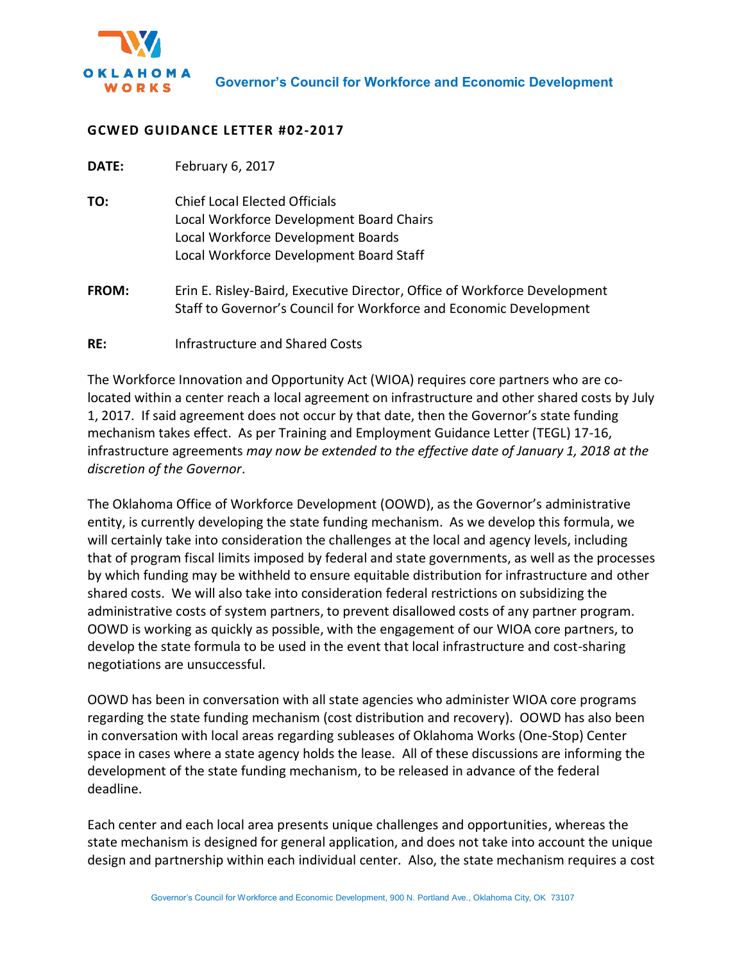

## **GCWED GUIDANCE LETTER #02-2017**

| DATE: | February 6, 2017 |  |
|-------|------------------|--|
|-------|------------------|--|

- **TO:** Chief Local Elected Officials Local Workforce Development Board Chairs Local Workforce Development Boards Local Workforce Development Board Staff
- **FROM:** Erin E. Risley-Baird, Executive Director, Office of Workforce Development Staff to Governor's Council for Workforce and Economic Development
- **RE:** Infrastructure and Shared Costs

The Workforce Innovation and Opportunity Act (WIOA) requires core partners who are colocated within a center reach a local agreement on infrastructure and other shared costs by July 1, 2017. If said agreement does not occur by that date, then the Governor's state funding mechanism takes effect. As per Training and Employment Guidance Letter (TEGL) 17-16, infrastructure agreements *may now be extended to the effective date of January 1, 2018 at the discretion of the Governor*.

The Oklahoma Office of Workforce Development (OOWD), as the Governor's administrative entity, is currently developing the state funding mechanism. As we develop this formula, we will certainly take into consideration the challenges at the local and agency levels, including that of program fiscal limits imposed by federal and state governments, as well as the processes by which funding may be withheld to ensure equitable distribution for infrastructure and other shared costs. We will also take into consideration federal restrictions on subsidizing the administrative costs of system partners, to prevent disallowed costs of any partner program. OOWD is working as quickly as possible, with the engagement of our WIOA core partners, to develop the state formula to be used in the event that local infrastructure and cost-sharing negotiations are unsuccessful.

OOWD has been in conversation with all state agencies who administer WIOA core programs regarding the state funding mechanism (cost distribution and recovery). OOWD has also been in conversation with local areas regarding subleases of Oklahoma Works (One-Stop) Center space in cases where a state agency holds the lease. All of these discussions are informing the development of the state funding mechanism, to be released in advance of the federal deadline.

Each center and each local area presents unique challenges and opportunities, whereas the state mechanism is designed for general application, and does not take into account the unique design and partnership within each individual center. Also, the state mechanism requires a cost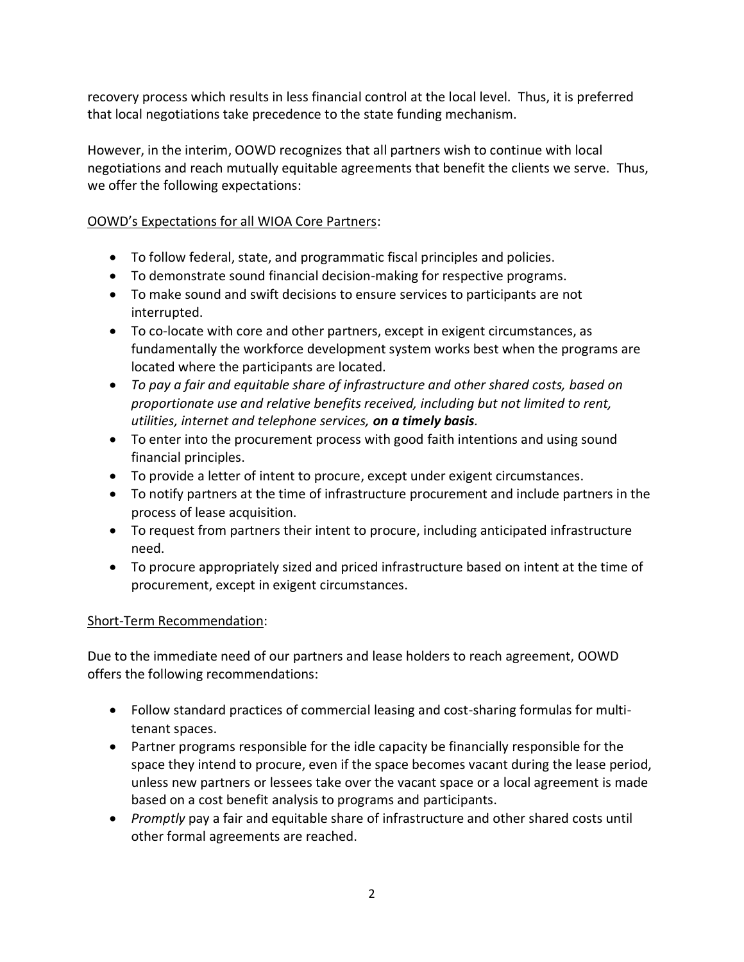recovery process which results in less financial control at the local level. Thus, it is preferred that local negotiations take precedence to the state funding mechanism.

However, in the interim, OOWD recognizes that all partners wish to continue with local negotiations and reach mutually equitable agreements that benefit the clients we serve. Thus, we offer the following expectations:

## OOWD's Expectations for all WIOA Core Partners:

- To follow federal, state, and programmatic fiscal principles and policies.
- To demonstrate sound financial decision-making for respective programs.
- To make sound and swift decisions to ensure services to participants are not interrupted.
- To co-locate with core and other partners, except in exigent circumstances, as fundamentally the workforce development system works best when the programs are located where the participants are located.
- *To pay a fair and equitable share of infrastructure and other shared costs, based on proportionate use and relative benefits received, including but not limited to rent, utilities, internet and telephone services, on a timely basis.*
- To enter into the procurement process with good faith intentions and using sound financial principles.
- To provide a letter of intent to procure, except under exigent circumstances.
- To notify partners at the time of infrastructure procurement and include partners in the process of lease acquisition.
- To request from partners their intent to procure, including anticipated infrastructure need.
- To procure appropriately sized and priced infrastructure based on intent at the time of procurement, except in exigent circumstances.

## Short-Term Recommendation:

Due to the immediate need of our partners and lease holders to reach agreement, OOWD offers the following recommendations:

- Follow standard practices of commercial leasing and cost-sharing formulas for multitenant spaces.
- Partner programs responsible for the idle capacity be financially responsible for the space they intend to procure, even if the space becomes vacant during the lease period, unless new partners or lessees take over the vacant space or a local agreement is made based on a cost benefit analysis to programs and participants.
- *Promptly* pay a fair and equitable share of infrastructure and other shared costs until other formal agreements are reached.